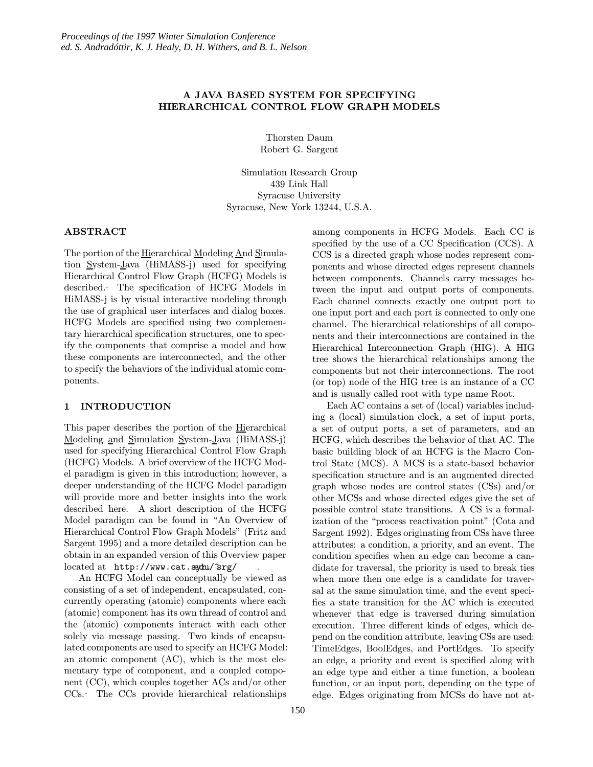# A JAVA BASED SYSTEM FOR SPECIFYING HIERARCHICAL CONTROL FLOW GRAPH MODELS

Thorsten Daum Robert G. Sargent

Simulation Research Group 439 Link Hall Syracuse University Syracuse, New York 13244, U.S.A.

# ABSTRACT

The portion of the Hierarchical Modeling And Simulation System-Java (HiMASS-j) used for specifying Hierarchical Control Flow Graph (HCFG) Models is described. The specification of HCFG Models in HiMASS-j is by visual interactive modeling through the use of graphical user interfaces and dialog boxes. HCFG Models are specified using two complementary hierarchical specification structures, one to specify the components that comprise a model and how these components are interconnected, and the other to specify the behaviors of the individual atomic components.

# 1 INTRODUCTION

This paper describes the portion of the Hierarchical Modeling and Simulation System-Java (HiMASS-j) used for specifying Hierarchical Control Flow Graph (HCFG) Models. A brief overview of the HCFG Model paradigm is given in this introduction; however, a deeper understanding of the HCFG Model paradigm will provide more and better insights into the work described here. A short description of the HCFG Model paradigm can be found in "An Overview of Hierarchical Control Flow Graph Models" (Fritz and Sargent 1995) and a more detailed description can be obtain in an expanded version of this Overview paper  $located at http://www.cat.sydu/"srg/$ 

An HCFG Model can conceptually be viewed as consisting of a set of independent, encapsulated, concurrently operating (atomic) components where each (atomic) component has its own thread of control and the (atomic) components interact with each other solely via message passing. Two kinds of encapsulated components are used to specify an HCFG Model: an atomic component (AC), which is the most elementary type of component, and a coupled component (CC), which couples together ACs and/or other CCs. The CCs provide hierarchical relationships

among components in HCFG Models. Each CC is specified by the use of a CC Specification (CCS). A CCS is a directed graph whose nodes represent components and whose directed edges represent channels between components. Channels carry messages between the input and output ports of components. Each channel connects exactly one output port to one input port and each port is connected to only one channel. The hierarchical relationships of all components and their interconnections are contained in the Hierarchical Interconnection Graph (HIG). A HIG tree shows the hierarchical relationships among the components but not their interconnections. The root (or top) node of the HIG tree is an instance of a CC and is usually called root with type name Root.

Each AC contains a set of (local) variables including a (local) simulation clock, a set of input ports, a set of output ports, a set of parameters, and an HCFG, which describes the behavior of that AC. The basic building block of an HCFG is the Macro Control State (MCS). A MCS is a state-based behavior specification structure and is an augmented directed graph whose nodes are control states (CSs) and/or other MCSs and whose directed edges give the set of possible control state transitions. A CS is a formalization of the "process reactivation point" (Cota and Sargent 1992). Edges originating from CSs have three attributes: a condition, a priority, and an event. The condition specifies when an edge can become a candidate for traversal, the priority is used to break ties when more then one edge is a candidate for traversal at the same simulation time, and the event specifies a state transition for the AC which is executed whenever that edge is traversed during simulation execution. Three different kinds of edges, which depend on the condition attribute, leaving CSs are used: TimeEdges, BoolEdges, and PortEdges. To specify an edge, a priority and event is specified along with an edge type and either a time function, a boolean function, or an input port, depending on the type of edge. Edges originating from MCSs do have not at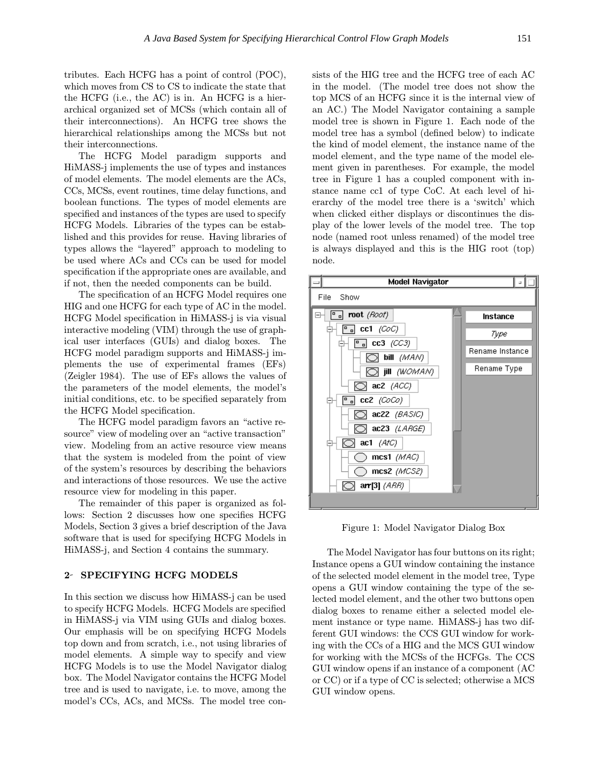tributes. Each HCFG has a point of control (POC), which moves from CS to CS to indicate the state that the HCFG (i.e., the AC) is in. An HCFG is a hierarchical organized set of MCSs (which contain all of their interconnections). An HCFG tree shows the hierarchical relationships among the MCSs but not their interconnections.

The HCFG Model paradigm supports and HiMASS-j implements the use of types and instances of model elements. The model elements are the ACs, CCs, MCSs, event routines, time delay functions, and boolean functions. The types of model elements are specified and instances of the types are used to specify HCFG Models. Libraries of the types can be established and this provides for reuse. Having libraries of types allows the "layered" approach to modeling to be used where ACs and CCs can be used for model specification if the appropriate ones are available, and if not, then the needed components can be build.

The specification of an HCFG Model requires one HIG and one HCFG for each type of AC in the model. HCFG Model specification in HiMASS-j is via visual interactive modeling (VIM) through the use of graphical user interfaces (GUIs) and dialog boxes. The HCFG model paradigm supports and HiMASS-j implements the use of experimental frames (EFs) (Zeigler 1984). The use of EFs allows the values of the parameters of the model elements, the model's initial conditions, etc. to be specified separately from the HCFG Model specification.

The HCFG model paradigm favors an "active resource" view of modeling over an "active transaction" view. Modeling from an active resource view means that the system is modeled from the point of view of the system's resources by describing the behaviors and interactions of those resources. We use the active resource view for modeling in this paper.

The remainder of this paper is organized as follows: Section 2 discusses how one specifies HCFG Models, Section 3 gives a brief description of the Java software that is used for specifying HCFG Models in HiMASS-j, and Section 4 contains the summary.

# 2 SPECIFYING HCFG MODELS

In this section we discuss how HiMASS-j can be used to specify HCFG Models. HCFG Models are specified in HiMASS-j via VIM using GUIs and dialog boxes. Our emphasis will be on specifying HCFG Models top down and from scratch, i.e., not using libraries of model elements. A simple way to specify and view HCFG Models is to use the Model Navigator dialog box. The Model Navigator contains the HCFG Model tree and is used to navigate, i.e. to move, among the model's CCs, ACs, and MCSs. The model tree consists of the HIG tree and the HCFG tree of each AC in the model. (The model tree does not show the top MCS of an HCFG since it is the internal view of an AC.) The Model Navigator containing a sample model tree is shown in Figure 1. Each node of the model tree has a symbol (defined below) to indicate the kind of model element, the instance name of the model element, and the type name of the model element given in parentheses. For example, the model tree in Figure 1 has a coupled component with instance name cc1 of type CoC. At each level of hierarchy of the model tree there is a 'switch' which when clicked either displays or discontinues the display of the lower levels of the model tree. The top node (named root unless renamed) of the model tree is always displayed and this is the HIG root (top) node.



Figure 1: Model Navigator Dialog Box

The Model Navigator has four buttons on its right; Instance opens a GUI window containing the instance of the selected model element in the model tree, Type opens a GUI window containing the type of the selected model element, and the other two buttons open dialog boxes to rename either a selected model element instance or type name. HiMASS-j has two different GUI windows: the CCS GUI window for working with the CCs of a HIG and the MCS GUI window for working with the MCSs of the HCFGs. The CCS GUI window opens if an instance of a component (AC or CC) or if a type of CC is selected; otherwise a MCS GUI window opens.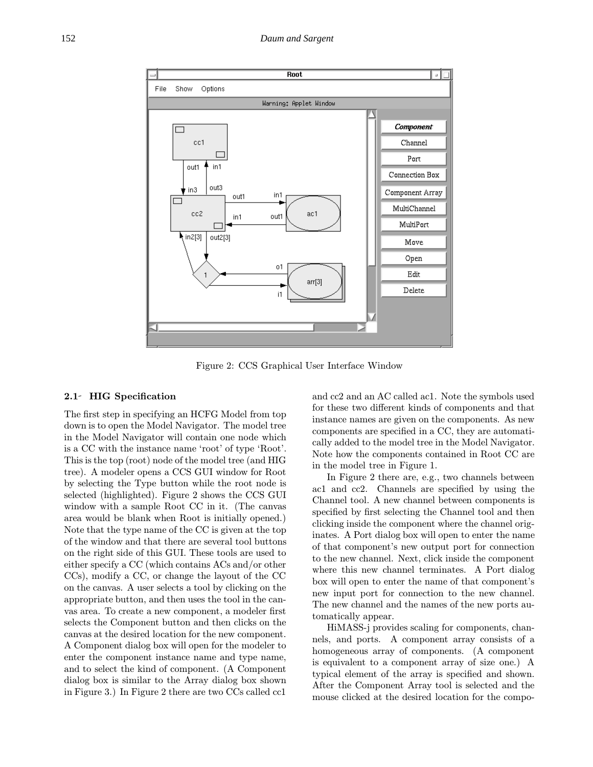

Figure 2: CCS Graphical User Interface Window

#### 2.1 HIG Specification

The first step in specifying an HCFG Model from top down is to open the Model Navigator. The model tree in the Model Navigator will contain one node which is a CC with the instance name 'root' of type 'Root'. This is the top (root) node of the model tree (and HIG tree). A modeler opens a CCS GUI window for Root by selecting the Type button while the root node is selected (highlighted). Figure 2 shows the CCS GUI window with a sample Root CC in it. (The canvas area would be blank when Root is initially opened.) Note that the type name of the CC is given at the top of the window and that there are several tool buttons on the right side of this GUI. These tools are used to either specify a CC (which contains ACs and/or other CCs), modify a CC, or change the layout of the CC on the canvas. A user selects a tool by clicking on the appropriate button, and then uses the tool in the canvas area. To create a new component, a modeler first selects the Component button and then clicks on the canvas at the desired location for the new component. A Component dialog box will open for the modeler to enter the component instance name and type name, and to select the kind of component. (A Component dialog box is similar to the Array dialog box shown in Figure 3.) In Figure 2 there are two CCs called cc1

and cc2 and an AC called ac1. Note the symbols used for these two different kinds of components and that instance names are given on the components. As new components are specified in a CC, they are automatically added to the model tree in the Model Navigator. Note how the components contained in Root CC are in the model tree in Figure 1.

In Figure 2 there are, e.g., two channels between ac1 and cc2. Channels are specified by using the Channel tool. A new channel between components is specified by first selecting the Channel tool and then clicking inside the component where the channel originates. A Port dialog box will open to enter the name of that component's new output port for connection to the new channel. Next, click inside the component where this new channel terminates. A Port dialog box will open to enter the name of that component's new input port for connection to the new channel. The new channel and the names of the new ports automatically appear.

HiMASS-j provides scaling for components, channels, and ports. A component array consists of a homogeneous array of components. (A component is equivalent to a component array of size one.) A typical element of the array is specified and shown. After the Component Array tool is selected and the mouse clicked at the desired location for the compo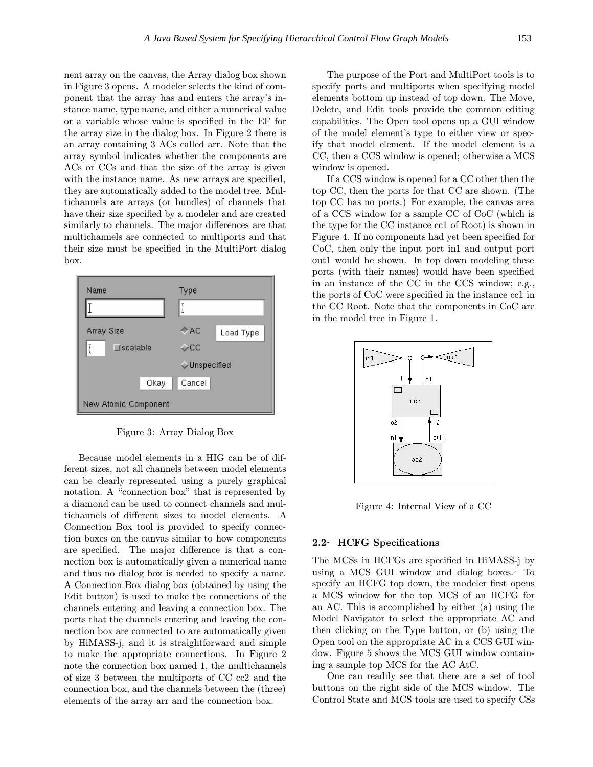nent array on the canvas, the Array dialog box shown in Figure 3 opens. A modeler selects the kind of component that the array has and enters the array's instance name, type name, and either a numerical value or a variable whose value is specified in the EF for the array size in the dialog box. In Figure 2 there is an array containing 3 ACs called arr. Note that the array symbol indicates whether the components are ACs or CCs and that the size of the array is given with the instance name. As new arrays are specified, they are automatically added to the model tree. Multichannels are arrays (or bundles) of channels that have their size specified by a modeler and are created similarly to channels. The major differences are that multichannels are connected to multiports and that their size must be specified in the MultiPort dialog box.



Figure 3: Array Dialog Box

Because model elements in a HIG can be of different sizes, not all channels between model elements can be clearly represented using a purely graphical notation. A "connection box" that is represented by a diamond can be used to connect channels and multichannels of different sizes to model elements. A Connection Box tool is provided to specify connection boxes on the canvas similar to how components are specified. The major difference is that a connection box is automatically given a numerical name and thus no dialog box is needed to specify a name. A Connection Box dialog box (obtained by using the Edit button) is used to make the connections of the channels entering and leaving a connection box. The ports that the channels entering and leaving the connection box are connected to are automatically given by HiMASS-j, and it is straightforward and simple to make the appropriate connections. In Figure 2 note the connection box named 1, the multichannels of size 3 between the multiports of CC cc2 and the connection box, and the channels between the (three) elements of the array arr and the connection box.

The purpose of the Port and MultiPort tools is to specify ports and multiports when specifying model elements bottom up instead of top down. The Move, Delete, and Edit tools provide the common editing capabilities. The Open tool opens up a GUI window of the model element's type to either view or specify that model element. If the model element is a CC, then a CCS window is opened; otherwise a MCS window is opened.

If a CCS window is opened for a CC other then the top CC, then the ports for that CC are shown. (The top CC has no ports.) For example, the canvas area of a CCS window for a sample CC of CoC (which is the type for the CC instance cc1 of Root) is shown in Figure 4. If no components had yet been specified for CoC, then only the input port in1 and output port out1 would be shown. In top down modeling these ports (with their names) would have been specified in an instance of the CC in the CCS window; e.g., the ports of CoC were specified in the instance cc1 in the CC Root. Note that the components in CoC are in the model tree in Figure 1.



Figure 4: Internal View of a CC

# 2.2 HCFG Specifications

The MCSs in HCFGs are specified in HiMASS-j by using a MCS GUI window and dialog boxes. To specify an HCFG top down, the modeler first opens a MCS window for the top MCS of an HCFG for an AC. This is accomplished by either (a) using the Model Navigator to select the appropriate AC and then clicking on the Type button, or (b) using the Open tool on the appropriate AC in a CCS GUI window. Figure 5 shows the MCS GUI window containing a sample top MCS for the AC AtC.

One can readily see that there are a set of tool buttons on the right side of the MCS window. The Control State and MCS tools are used to specify CSs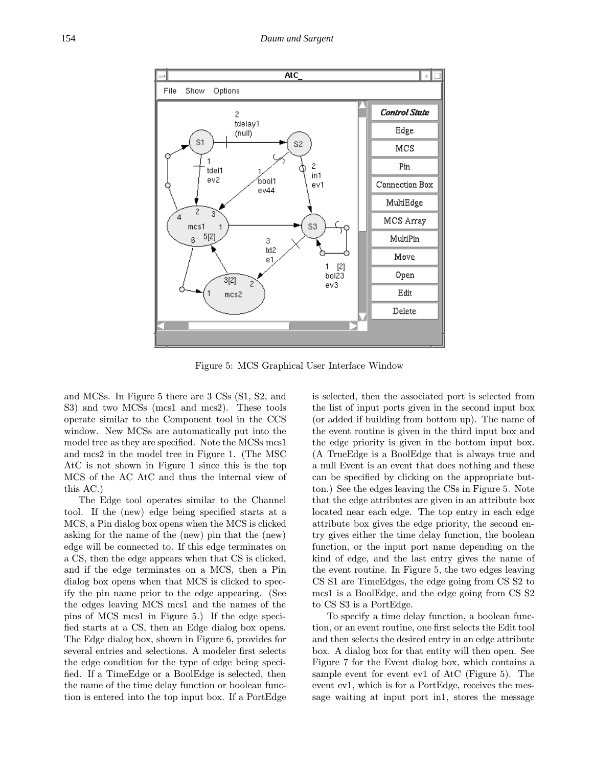

Figure 5: MCS Graphical User Interface Window

and MCSs. In Figure 5 there are 3 CSs (S1, S2, and S3) and two MCSs (mcs1 and mcs2). These tools operate similar to the Component tool in the CCS window. New MCSs are automatically put into the model tree as they are specified. Note the MCSs mcs1 and mcs2 in the model tree in Figure 1. (The MSC AtC is not shown in Figure 1 since this is the top MCS of the AC AtC and thus the internal view of this AC.)

The Edge tool operates similar to the Channel tool. If the (new) edge being specified starts at a MCS, a Pin dialog box opens when the MCS is clicked asking for the name of the (new) pin that the (new) edge will be connected to. If this edge terminates on a CS, then the edge appears when that CS is clicked, and if the edge terminates on a MCS, then a Pin dialog box opens when that MCS is clicked to specify the pin name prior to the edge appearing. (See the edges leaving MCS mcs1 and the names of the pins of MCS mcs1 in Figure 5.) If the edge specified starts at a CS, then an Edge dialog box opens. The Edge dialog box, shown in Figure 6, provides for several entries and selections. A modeler first selects the edge condition for the type of edge being specified. If a TimeEdge or a BoolEdge is selected, then the name of the time delay function or boolean function is entered into the top input box. If a PortEdge

is selected, then the associated port is selected from the list of input ports given in the second input box (or added if building from bottom up). The name of the event routine is given in the third input box and the edge priority is given in the bottom input box. (A TrueEdge is a BoolEdge that is always true and a null Event is an event that does nothing and these can be specified by clicking on the appropriate button.) See the edges leaving the CSs in Figure 5. Note that the edge attributes are given in an attribute box located near each edge. The top entry in each edge attribute box gives the edge priority, the second entry gives either the time delay function, the boolean function, or the input port name depending on the kind of edge, and the last entry gives the name of the event routine. In Figure 5, the two edges leaving CS S1 are TimeEdges, the edge going from CS S2 to mcs1 is a BoolEdge, and the edge going from CS S2 to CS S3 is a PortEdge.

To specify a time delay function, a boolean function, or an event routine, one first selects the Edit tool and then selects the desired entry in an edge attribute box. A dialog box for that entity will then open. See Figure 7 for the Event dialog box, which contains a sample event for event ev1 of AtC (Figure 5). The event ev1, which is for a PortEdge, receives the message waiting at input port in1, stores the message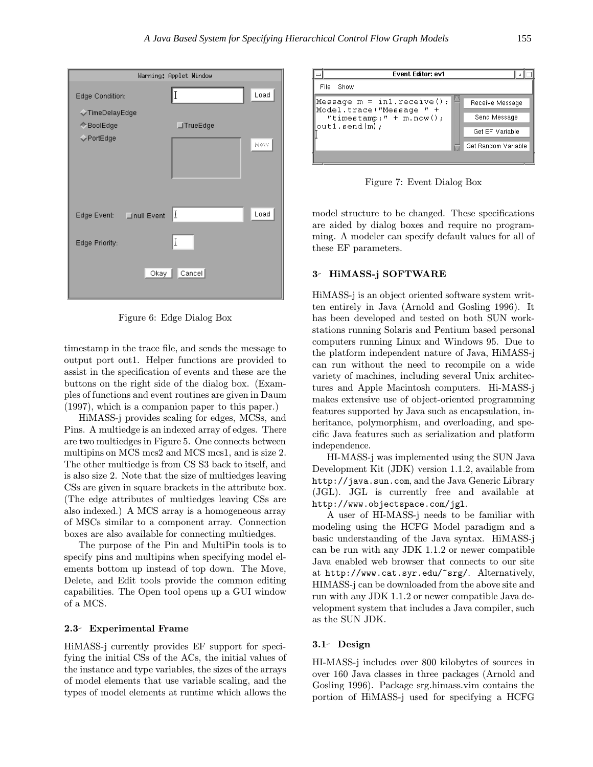| Warning: Applet Window  |                  |      |
|-------------------------|------------------|------|
| Edge Condition:         |                  | Load |
| TimeDelayEdge           |                  |      |
| ◆ BoolEdge              | <b>□TrueEdge</b> |      |
| PortEdge                |                  | New  |
| Edge Event: Jnull Event | L                | Load |
| Edge Priority:          | Ľ                |      |
| Cancel <br>Okay         |                  |      |

Figure 6: Edge Dialog Box

timestamp in the trace file, and sends the message to output port out1. Helper functions are provided to assist in the specification of events and these are the buttons on the right side of the dialog box. (Examples of functions and event routines are given in Daum (1997), which is a companion paper to this paper.)

HiMASS-j provides scaling for edges, MCSs, and Pins. A multiedge is an indexed array of edges. There are two multiedges in Figure 5. One connects between multipins on MCS mcs2 and MCS mcs1, and is size 2. The other multiedge is from CS S3 back to itself, and is also size 2. Note that the size of multiedges leaving CSs are given in square brackets in the attribute box. (The edge attributes of multiedges leaving CSs are also indexed.) A MCS array is a homogeneous array of MSCs similar to a component array. Connection boxes are also available for connecting multiedges.

The purpose of the Pin and MultiPin tools is to specify pins and multipins when specifying model elements bottom up instead of top down. The Move, Delete, and Edit tools provide the common editing capabilities. The Open tool opens up a GUI window of a MCS.

### 2.3- Experimental Frame

HiMASS-j currently provides EF support for specifying the initial CSs of the ACs, the initial values of the instance and type variables, the sizes of the arrays of model elements that use variable scaling, and the types of model elements at runtime which allows the



Figure 7: Event Dialog Box

model structure to be changed. These specifications are aided by dialog boxes and require no programming. A modeler can specify default values for all of these EF parameters.

### 3- HiMASS-j SOFTWARE

HiMASS-j is an object oriented software system written entirely in Java (Arnold and Gosling 1996). It has been developed and tested on both SUN workstations running Solaris and Pentium based personal computers running Linux and Windows 95. Due to the platform independent nature of Java, HiMASS-j can run without the need to recompile on a wide variety of machines, including several Unix architectures and Apple Macintosh computers. Hi-MASS-j makes extensive use of object-oriented programming features supported by Java such as encapsulation, inheritance, polymorphism, and overloading, and specific Java features such as serialization and platform independence.

HI-MASS-j was implemented using the SUN Java Development Kit (JDK) version 1.1.2, available from http://java.sun.com, and the Java Generic Library (JGL). JGL is currently free and available at http://www.objectspace.com/jgl.

A user of HI-MASS-j needs to be familiar with modeling using the HCFG Model paradigm and a basic understanding of the Java syntax. HiMASS-j can be run with any JDK 1.1.2 or newer compatible Java enabled web browser that connects to our site at http://www.cat.syr.edu/~srg/. Alternatively, HIMASS-j can be downloaded from the above site and run with any JDK 1.1.2 or newer compatible Java development system that includes a Java compiler, such as the SUN JDK.

## 3.1- Design

HI-MASS-j includes over 800 kilobytes of sources in over 160 Java classes in three packages (Arnold and Gosling 1996). Package srg.himass.vim contains the portion of HiMASS-j used for specifying a HCFG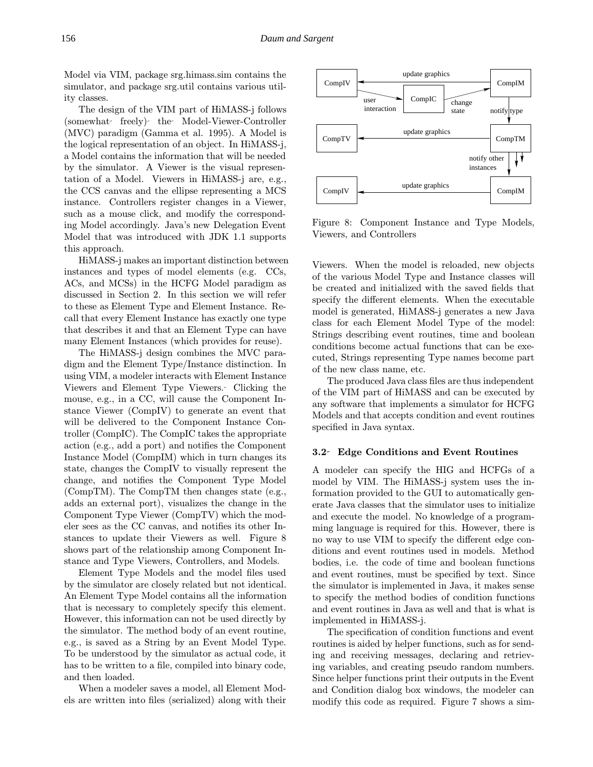Model via VIM, package srg.himass.sim contains the simulator, and package srg.util contains various utility classes.

The design of the VIM part of HiMASS-j follows (somewhat freely) the Model-Viewer-Controller (MVC) paradigm (Gamma et al. 1995). A Model is the logical representation of an object. In HiMASS-j, a Model contains the information that will be needed by the simulator. A Viewer is the visual representation of a Model. Viewers in HiMASS-j are, e.g., the CCS canvas and the ellipse representing a MCS instance. Controllers register changes in a Viewer, such as a mouse click, and modify the corresponding Model accordingly. Java's new Delegation Event Model that was introduced with JDK 1.1 supports this approach.

HiMASS-j makes an important distinction between instances and types of model elements (e.g. CCs, ACs, and MCSs) in the HCFG Model paradigm as discussed in Section 2. In this section we will refer to these as Element Type and Element Instance. Recall that every Element Instance has exactly one type that describes it and that an Element Type can have many Element Instances (which provides for reuse).

The HiMASS-j design combines the MVC paradigm and the Element Type/Instance distinction. In using VIM, a modeler interacts with Element Instance Viewers and Element Type Viewers. Clicking the mouse, e.g., in a CC, will cause the Component Instance Viewer (CompIV) to generate an event that will be delivered to the Component Instance Controller (CompIC). The CompIC takes the appropriate action (e.g., add a port) and notifies the Component Instance Model (CompIM) which in turn changes its state, changes the CompIV to visually represent the change, and notifies the Component Type Model (CompTM). The CompTM then changes state (e.g., adds an external port), visualizes the change in the Component Type Viewer (CompTV) which the modeler sees as the CC canvas, and notifies its other Instances to update their Viewers as well. Figure 8 shows part of the relationship among Component Instance and Type Viewers, Controllers, and Models.

Element Type Models and the model files used by the simulator are closely related but not identical. An Element Type Model contains all the information that is necessary to completely specify this element. However, this information can not be used directly by the simulator. The method body of an event routine, e.g., is saved as a String by an Event Model Type. To be understood by the simulator as actual code, it has to be written to a file, compiled into binary code, and then loaded.

When a modeler saves a model, all Element Models are written into files (serialized) along with their



Figure 8: Component Instance and Type Models, Viewers, and Controllers

Viewers. When the model is reloaded, new objects of the various Model Type and Instance classes will be created and initialized with the saved fields that specify the different elements. When the executable model is generated, HiMASS-j generates a new Java class for each Element Model Type of the model: Strings describing event routines, time and boolean conditions become actual functions that can be executed, Strings representing Type names become part of the new class name, etc.

The produced Java class files are thus independent of the VIM part of HiMASS and can be executed by any software that implements a simulator for HCFG Models and that accepts condition and event routines specified in Java syntax.

## 3.2 Edge Conditions and Event Routines

A modeler can specify the HIG and HCFGs of a model by VIM. The HiMASS-j system uses the information provided to the GUI to automatically generate Java classes that the simulator uses to initialize and execute the model. No knowledge of a programming language is required for this. However, there is no way to use VIM to specify the different edge conditions and event routines used in models. Method bodies, i.e. the code of time and boolean functions and event routines, must be specified by text. Since the simulator is implemented in Java, it makes sense to specify the method bodies of condition functions and event routines in Java as well and that is what is implemented in HiMASS-j.

The specification of condition functions and event routines is aided by helper functions, such as for sending and receiving messages, declaring and retrieving variables, and creating pseudo random numbers. Since helper functions print their outputs in the Event and Condition dialog box windows, the modeler can modify this code as required. Figure 7 shows a sim